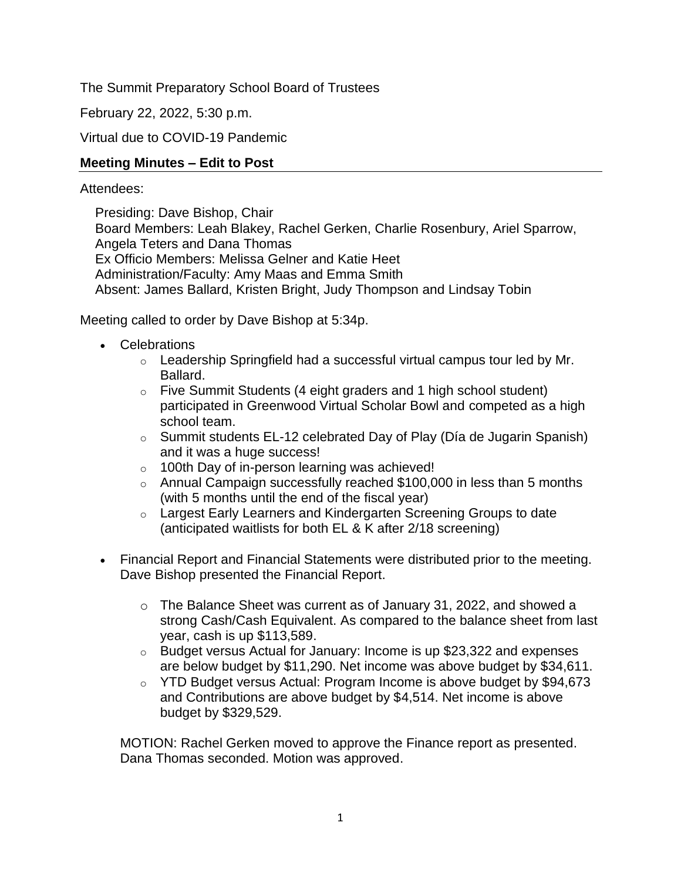The Summit Preparatory School Board of Trustees

February 22, 2022, 5:30 p.m.

Virtual due to COVID-19 Pandemic

#### **Meeting Minutes – Edit to Post**

#### Attendees:

Presiding: Dave Bishop, Chair Board Members: Leah Blakey, Rachel Gerken, Charlie Rosenbury, Ariel Sparrow, Angela Teters and Dana Thomas Ex Officio Members: Melissa Gelner and Katie Heet Administration/Faculty: Amy Maas and Emma Smith Absent: James Ballard, Kristen Bright, Judy Thompson and Lindsay Tobin

Meeting called to order by Dave Bishop at 5:34p.

- Celebrations
	- $\circ$  Leadership Springfield had a successful virtual campus tour led by Mr. Ballard.
	- o Five Summit Students (4 eight graders and 1 high school student) participated in Greenwood Virtual Scholar Bowl and competed as a high school team.
	- $\circ$  Summit students EL-12 celebrated Day of Play (Día de Jugarin Spanish) and it was a huge success!
	- o 100th Day of in-person learning was achieved!
	- $\circ$  Annual Campaign successfully reached \$100,000 in less than 5 months (with 5 months until the end of the fiscal year)
	- o Largest Early Learners and Kindergarten Screening Groups to date (anticipated waitlists for both EL & K after 2/18 screening)
- Financial Report and Financial Statements were distributed prior to the meeting. Dave Bishop presented the Financial Report.
	- o The Balance Sheet was current as of January 31, 2022, and showed a strong Cash/Cash Equivalent. As compared to the balance sheet from last year, cash is up \$113,589.
	- $\circ$  Budget versus Actual for January: Income is up \$23,322 and expenses are below budget by \$11,290. Net income was above budget by \$34,611.
	- o YTD Budget versus Actual: Program Income is above budget by \$94,673 and Contributions are above budget by \$4,514. Net income is above budget by \$329,529.

MOTION: Rachel Gerken moved to approve the Finance report as presented. Dana Thomas seconded. Motion was approved.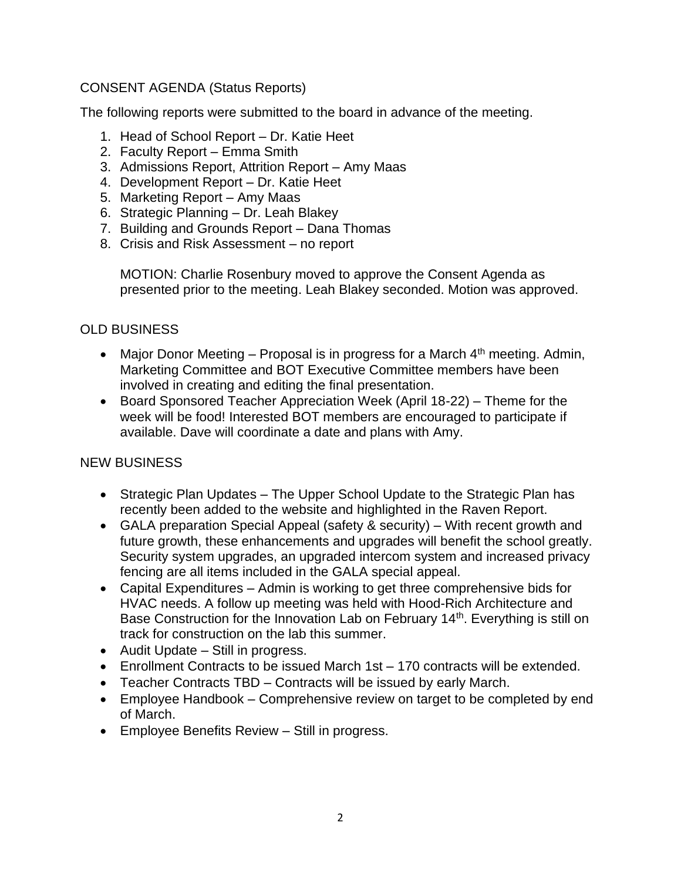# CONSENT AGENDA (Status Reports)

The following reports were submitted to the board in advance of the meeting.

- 1. Head of School Report Dr. Katie Heet
- 2. Faculty Report Emma Smith
- 3. Admissions Report, Attrition Report Amy Maas
- 4. Development Report Dr. Katie Heet
- 5. Marketing Report Amy Maas
- 6. Strategic Planning Dr. Leah Blakey
- 7. Building and Grounds Report Dana Thomas
- 8. Crisis and Risk Assessment no report

MOTION: Charlie Rosenbury moved to approve the Consent Agenda as presented prior to the meeting. Leah Blakey seconded. Motion was approved.

# OLD BUSINESS

- Maior Donor Meeting Proposal is in progress for a March  $4<sup>th</sup>$  meeting. Admin, Marketing Committee and BOT Executive Committee members have been involved in creating and editing the final presentation.
- Board Sponsored Teacher Appreciation Week (April 18-22) Theme for the week will be food! Interested BOT members are encouraged to participate if available. Dave will coordinate a date and plans with Amy.

# NEW BUSINESS

- Strategic Plan Updates The Upper School Update to the Strategic Plan has recently been added to the website and highlighted in the Raven Report.
- GALA preparation Special Appeal (safety & security) With recent growth and future growth, these enhancements and upgrades will benefit the school greatly. Security system upgrades, an upgraded intercom system and increased privacy fencing are all items included in the GALA special appeal.
- Capital Expenditures Admin is working to get three comprehensive bids for HVAC needs. A follow up meeting was held with Hood-Rich Architecture and Base Construction for the Innovation Lab on February 14<sup>th</sup>. Everything is still on track for construction on the lab this summer.
- Audit Update Still in progress.
- Enrollment Contracts to be issued March 1st 170 contracts will be extended.
- Teacher Contracts TBD Contracts will be issued by early March.
- Employee Handbook Comprehensive review on target to be completed by end of March.
- Employee Benefits Review Still in progress.